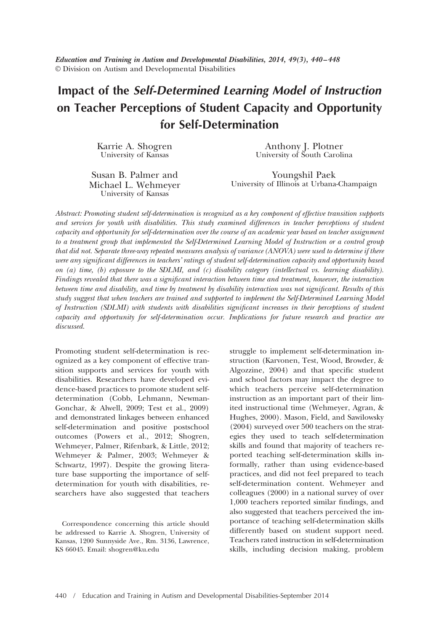*Education and Training in Autism and Developmental Disabilities, 2014, 49(3), 440 – 448* © Division on Autism and Developmental Disabilities

# **Impact of the** *Self-Determined Learning Model of Instruction* **on Teacher Perceptions of Student Capacity and Opportunity for Self-Determination**

Karrie A. Shogren University of Kansas

Anthony J. Plotner University of South Carolina

Susan B. Palmer and Michael L. Wehmeyer University of Kansas

Youngshil Paek University of Illinois at Urbana-Champaign

*Abstract: Promoting student self-determination is recognized as a key component of effective transition supports and services for youth with disabilities. This study examined differences in teacher perceptions of student capacity and opportunity for self-determination over the course of an academic year based on teacher assignment to a treatment group that implemented the Self-Determined Learning Model of Instruction or a control group that did not. Separate three-way repeated measures analysis of variance (ANOVA) were used to determine if there were any significant differences in teachers' ratings of student self-determination capacity and opportunity based on (a) time, (b) exposure to the SDLMI, and (c) disability category (intellectual vs. learning disability). Findings revealed that there was a significant interaction between time and treatment, however, the interaction between time and disability, and time by treatment by disability interaction was not significant. Results of this study suggest that when teachers are trained and supported to implement the Self-Determined Learning Model of Instruction (SDLMI) with students with disabilities significant increases in their perceptions of student capacity and opportunity for self-determination occur. Implications for future research and practice are discussed.*

Promoting student self-determination is recognized as a key component of effective transition supports and services for youth with disabilities. Researchers have developed evidence-based practices to promote student selfdetermination (Cobb, Lehmann, Newman-Gonchar, & Alwell, 2009; Test et al., 2009) and demonstrated linkages between enhanced self-determination and positive postschool outcomes (Powers et al., 2012; Shogren, Wehmeyer, Palmer, Rifenbark, & Little, 2012; Wehmeyer & Palmer, 2003; Wehmeyer & Schwartz, 1997). Despite the growing literature base supporting the importance of selfdetermination for youth with disabilities, researchers have also suggested that teachers

Correspondence concerning this article should be addressed to Karrie A. Shogren, University of Kansas, 1200 Sunnyside Ave., Rm. 3136, Lawrence, KS 66045. Email: shogren@ku.edu

struggle to implement self-determination instruction (Karvonen, Test, Wood, Browder, & Algozzine, 2004) and that specific student and school factors may impact the degree to which teachers perceive self-determination instruction as an important part of their limited instructional time (Wehmeyer, Agran, & Hughes, 2000). Mason, Field, and Sawilowsky (2004) surveyed over 500 teachers on the strategies they used to teach self-determination skills and found that majority of teachers reported teaching self-determination skills informally, rather than using evidence-based practices, and did not feel prepared to teach self-determination content. Wehmeyer and colleagues (2000) in a national survey of over 1,000 teachers reported similar findings, and also suggested that teachers perceived the importance of teaching self-determination skills differently based on student support need. Teachers rated instruction in self-determination skills, including decision making, problem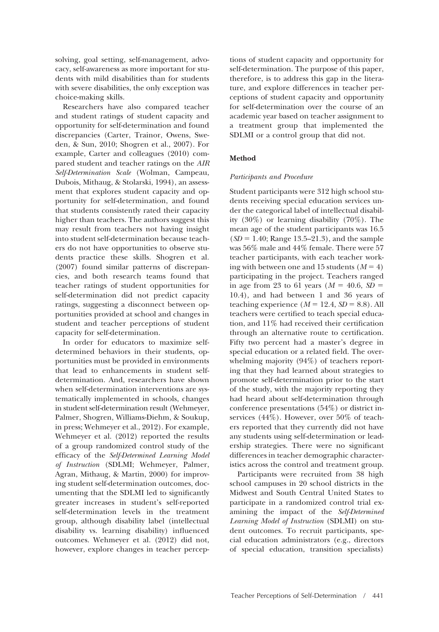solving, goal setting, self-management, advocacy, self-awareness as more important for students with mild disabilities than for students with severe disabilities, the only exception was choice-making skills.

Researchers have also compared teacher and student ratings of student capacity and opportunity for self-determination and found discrepancies (Carter, Trainor, Owens, Sweden, & Sun, 2010; Shogren et al., 2007). For example, Carter and colleagues (2010) compared student and teacher ratings on the *AIR Self-Determination Scale* (Wolman, Campeau, Dubois, Mithaug, & Stolarski, 1994), an assessment that explores student capacity and opportunity for self-determination, and found that students consistently rated their capacity higher than teachers. The authors suggest this may result from teachers not having insight into student self-determination because teachers do not have opportunities to observe students practice these skills. Shogren et al. (2007) found similar patterns of discrepancies, and both research teams found that teacher ratings of student opportunities for self-determination did not predict capacity ratings, suggesting a disconnect between opportunities provided at school and changes in student and teacher perceptions of student capacity for self-determination.

In order for educators to maximize selfdetermined behaviors in their students, opportunities must be provided in environments that lead to enhancements in student selfdetermination. And, researchers have shown when self-determination interventions are systematically implemented in schools, changes in student self-determination result (Wehmeyer, Palmer, Shogren, Williams-Diehm, & Soukup, in press; Wehmeyer et al., 2012). For example, Wehmeyer et al. (2012) reported the results of a group randomized control study of the efficacy of the *Self-Determined Learning Model of Instruction* (SDLMI; Wehmeyer, Palmer, Agran, Mithaug, & Martin, 2000) for improving student self-determination outcomes, documenting that the SDLMI led to significantly greater increases in student's self-reported self-determination levels in the treatment group, although disability label (intellectual disability vs. learning disability) influenced outcomes. Wehmeyer et al. (2012) did not, however, explore changes in teacher perceptions of student capacity and opportunity for self-determination. The purpose of this paper, therefore, is to address this gap in the literature, and explore differences in teacher perceptions of student capacity and opportunity for self-determination over the course of an academic year based on teacher assignment to a treatment group that implemented the SDLMI or a control group that did not.

## **Method**

#### *Participants and Procedure*

Student participants were 312 high school students receiving special education services under the categorical label of intellectual disability (30%) or learning disability (70%). The mean age of the student participants was 16.5  $(SD = 1.40;$  Range 13.5–21.3), and the sample was 56% male and 44% female. There were 57 teacher participants, with each teacher working with between one and  $15$  students  $(M = 4)$ participating in the project. Teachers ranged in age from 23 to 61 years  $(M = 40.6, SD =$ 10.4), and had between 1 and 36 years of teaching experience  $(M = 12.4, SD = 8.8)$ . All teachers were certified to teach special education, and 11% had received their certification through an alternative route to certification. Fifty two percent had a master's degree in special education or a related field. The overwhelming majority (94%) of teachers reporting that they had learned about strategies to promote self-determination prior to the start of the study, with the majority reporting they had heard about self-determination through conference presentations (54%) or district inservices (44%). However, over 50% of teachers reported that they currently did not have any students using self-determination or leadership strategies. There were no significant differences in teacher demographic characteristics across the control and treatment group.

Participants were recruited from 38 high school campuses in 20 school districts in the Midwest and South Central United States to participate in a randomized control trial examining the impact of the *Self-Determined Learning Model of Instruction* (SDLMI) on student outcomes. To recruit participants, special education administrators (e.g., directors of special education, transition specialists)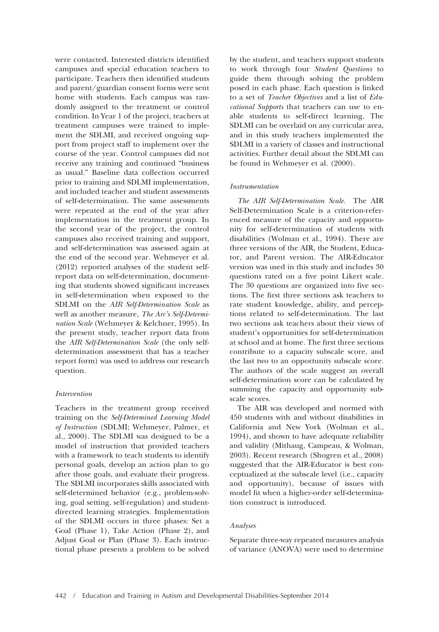were contacted. Interested districts identified campuses and special education teachers to participate. Teachers then identified students and parent/guardian consent forms were sent home with students. Each campus was randomly assigned to the treatment or control condition. In Year 1 of the project, teachers at treatment campuses were trained to implement the SDLMI, and received ongoing support from project staff to implement over the course of the year. Control campuses did not receive any training and continued "business as usual." Baseline data collection occurred prior to training and SDLMI implementation, and included teacher and student assessments of self-determination. The same assessments were repeated at the end of the year after implementation in the treatment group. In the second year of the project, the control campuses also received training and support, and self-determination was assessed again at the end of the second year. Wehmeyer et al. (2012) reported analyses of the student selfreport data on self-determination, documenting that students showed significant increases in self-determination when exposed to the SDLMI on the *AIR Self-Determination Scale* as well as another measure, *The Arc's Self-Determination Scale* (Wehmeyer & Kelchner, 1995). In the present study, teacher report data from the *AIR Self-Determination Scale* (the only selfdetermination assessment that has a teacher report form) was used to address our research question.

#### *Intervention*

Teachers in the treatment group received training on the *Self-Determined Learning Model of Instruction* (SDLMI; Wehmeyer, Palmer, et al., 2000). The SDLMI was designed to be a model of instruction that provided teachers with a framework to teach students to identify personal goals, develop an action plan to go after those goals, and evaluate their progress. The SDLMI incorporates skills associated with self-determined behavior (e.g., problem-solving, goal setting, self-regulation) and studentdirected learning strategies. Implementation of the SDLMI occurs in three phases: Set a Goal (Phase 1), Take Action (Phase 2), and Adjust Goal or Plan (Phase 3). Each instructional phase presents a problem to be solved

by the student, and teachers support students to work through four *Student Questions* to guide them through solving the problem posed in each phase. Each question is linked to a set of *Teacher Objectives* and a list of *Educational Supports* that teachers can use to enable students to self-direct learning. The SDLMI can be overlaid on any curricular area, and in this study teachers implemented the SDLMI in a variety of classes and instructional activities. Further detail about the SDLMI can be found in Wehmeyer et al. (2000).

## *Instrumentation*

*The AIR Self-Determination Scale.* The AIR Self-Determination Scale is a criterion-referenced measure of the capacity and opportunity for self-determination of students with disabilities (Wolman et al., 1994). There are three versions of the AIR, the Student, Educator, and Parent version. The AIR-Educator version was used in this study and includes 30 questions rated on a five point Likert scale. The 30 questions are organized into five sections. The first three sections ask teachers to rate student knowledge, ability, and perceptions related to self-determination. The last two sections ask teachers about their views of student's opportunities for self-determination at school and at home. The first three sections contribute to a capacity subscale score, and the last two to an opportunity subscale score. The authors of the scale suggest an overall self-determination score can be calculated by summing the capacity and opportunity subscale scores.

The AIR was developed and normed with 450 students with and without disabilities in California and New York (Wolman et al., 1994), and shown to have adequate reliability and validity (Mithaug, Campeau, & Wolman, 2003). Recent research (Shogren et al., 2008) suggested that the AIR-Educator is best conceptualized at the subscale level (i.e., capacity and opportunity), because of issues with model fit when a higher-order self-determination construct is introduced.

#### *Analyses*

Separate three-way repeated measures analysis of variance (ANOVA) were used to determine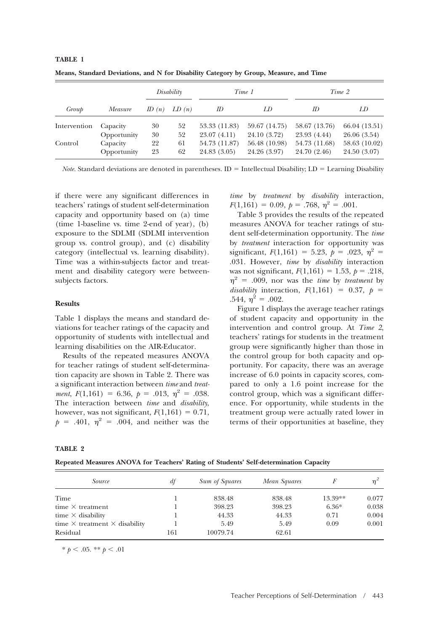| Group        | Measure     | Disability |       | Time 1        |               | Time 2        |               |
|--------------|-------------|------------|-------|---------------|---------------|---------------|---------------|
|              |             | ID $(n)$   | LD(n) | <i>ID</i>     | LD            | ID.           | LD            |
| Intervention | Capacity    | 30         | 52    | 53.33 (11.83) | 59.67 (14.75) | 58.67 (13.76) | 66.04 (13.51) |
|              | Opportunity | 30         | 52    | 23.07(4.11)   | 24.10 (3.72)  | 23.93 (4.44)  | 26.06(3.54)   |
| Control      | Capacity    | 22         | 61    | 54.73 (11.87) | 56.48 (10.98) | 54.73 (11.68) | 58.63 (10.02) |
|              | Opportunity | 23         | 62    | 24.83 (3.05)  | 24.26 (3.97)  | 24.70 (2.46)  | 24.50 (3.07)  |

**Means, Standard Deviations, and N for Disability Category by Group, Measure, and Time**

*Note*. Standard deviations are denoted in parentheses. ID = Intellectual Disability; LD = Learning Disability

if there were any significant differences in teachers' ratings of student self-determination capacity and opportunity based on (a) time (time 1-baseline vs. time 2-end of year), (b) exposure to the SDLMI (SDLMI intervention group vs. control group), and (c) disability category (intellectual vs. learning disability). Time was a within-subjects factor and treatment and disability category were betweensubjects factors.

#### **Results**

**TABLE 1**

Table 1 displays the means and standard deviations for teacher ratings of the capacity and opportunity of students with intellectual and learning disabilities on the AIR-Educator.

Results of the repeated measures ANOVA for teacher ratings of student self-determination capacity are shown in Table 2. There was a significant interaction between *time* and *treatment*,  $F(1,161) = 6.36$ ,  $p = .013$ ,  $\eta^2 = .038$ . The interaction between *time* and *disability*, however, was not significant,  $F(1,161) = 0.71$ ,  $p = .401, \eta^2 = .004, \text{ and neither was the}$ 

*time* by *treatment* by *disability* interaction,  $F(1,161) = 0.09, p = .768, \eta^2 = .001.$ 

Table 3 provides the results of the repeated measures ANOVA for teacher ratings of student self-determination opportunity. The *time* by *treatment* interaction for opportunity was significant,  $F(1,161) = 5.23, p = .023, \eta^2 =$ .031. However, *time* by *disability* interaction was not significant,  $F(1,161) = 1.53$ ,  $p = .218$ ,  $\eta^2$  = .009, nor was the *time* by *treatment* by *disability* interaction,  $F(1,161) = 0.37$ ,  $p =$ .544,  $\eta^2 = .002$ .

Figure 1 displays the average teacher ratings of student capacity and opportunity in the intervention and control group. At *Time 2*, teachers' ratings for students in the treatment group were significantly higher than those in the control group for both capacity and opportunity. For capacity, there was an average increase of 6.0 points in capacity scores, compared to only a 1.6 point increase for the control group, which was a significant difference. For opportunity, while students in the treatment group were actually rated lower in terms of their opportunities at baseline, they

## **TABLE 2**

**Repeated Measures ANOVA for Teachers' Rating of Students' Self-determination Capacity**

| Source                                      | $\mathcal{H}$ | <b>Sum of Squares</b> | Mean Squares |           | $n^2$ |
|---------------------------------------------|---------------|-----------------------|--------------|-----------|-------|
| Time                                        |               | 838.48                | 838.48       | $13.39**$ | 0.077 |
| time $\times$ treatment                     |               | 398.23                | 398.23       | $6.36*$   | 0.038 |
| time $\times$ disability                    |               | 44.33                 | 44.33        | 0.71      | 0.004 |
| time $\times$ treatment $\times$ disability |               | 5.49                  | 5.49         | 0.09      | 0.001 |
| Residual                                    | 161           | 10079.74              | 62.61        |           |       |

 $* p < .05$ . \*\*  $p < .01$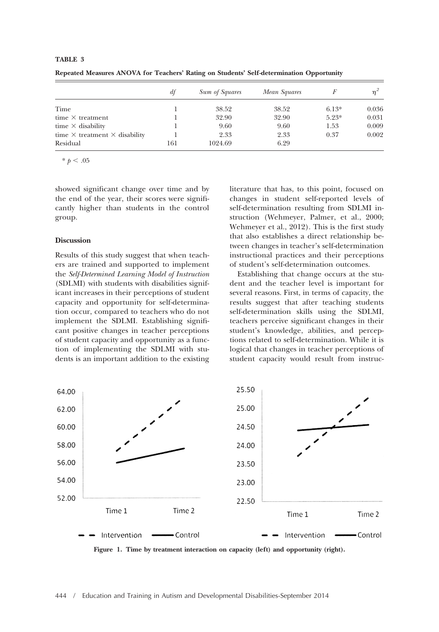|                                             | df  | Sum of Squares | Mean Squares |         | $n^2$ |
|---------------------------------------------|-----|----------------|--------------|---------|-------|
| Time                                        |     | 38.52          | 38.52        | $6.13*$ | 0.036 |
| time $\times$ treatment                     |     | 32.90          | 32.90        | $5.23*$ | 0.031 |
| time $\times$ disability                    |     | 9.60           | 9.60         | 1.53    | 0.009 |
| time $\times$ treatment $\times$ disability |     | 2.33           | 2.33         | 0.37    | 0.002 |
| Residual                                    | 161 | 1024.69        | 6.29         |         |       |

**Repeated Measures ANOVA for Teachers' Rating on Students' Self-determination Opportunity**

 $* \; p < .05$ 

**TABLE 3**

showed significant change over time and by the end of the year, their scores were significantly higher than students in the control group.

#### **Discussion**

Results of this study suggest that when teachers are trained and supported to implement the *Self-Determined Learning Model of Instruction* (SDLMI) with students with disabilities significant increases in their perceptions of student capacity and opportunity for self-determination occur, compared to teachers who do not implement the SDLMI. Establishing significant positive changes in teacher perceptions of student capacity and opportunity as a function of implementing the SDLMI with students is an important addition to the existing literature that has, to this point, focused on changes in student self-reported levels of self-determination resulting from SDLMI instruction (Wehmeyer, Palmer, et al., 2000; Wehmeyer et al., 2012). This is the first study that also establishes a direct relationship between changes in teacher's self-determination instructional practices and their perceptions of student's self-determination outcomes.

Establishing that change occurs at the student and the teacher level is important for several reasons. First, in terms of capacity, the results suggest that after teaching students self-determination skills using the SDLMI, teachers perceive significant changes in their student's knowledge, abilities, and perceptions related to self-determination. While it is logical that changes in teacher perceptions of student capacity would result from instruc-



**Figure 1. Time by treatment interaction on capacity (left) and opportunity (right).**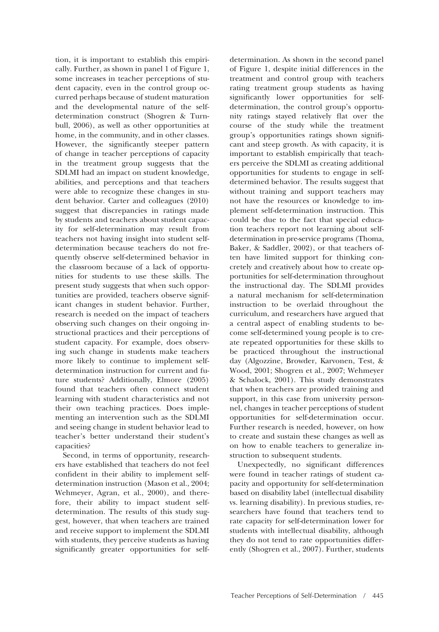tion, it is important to establish this empirically. Further, as shown in panel 1 of Figure 1, some increases in teacher perceptions of student capacity, even in the control group occurred perhaps because of student maturation and the developmental nature of the selfdetermination construct (Shogren & Turnbull, 2006), as well as other opportunities at home, in the community, and in other classes. However, the significantly steeper pattern of change in teacher perceptions of capacity in the treatment group suggests that the SDLMI had an impact on student knowledge, abilities, and perceptions and that teachers were able to recognize these changes in student behavior. Carter and colleagues (2010) suggest that discrepancies in ratings made by students and teachers about student capacity for self-determination may result from teachers not having insight into student selfdetermination because teachers do not frequently observe self-determined behavior in the classroom because of a lack of opportunities for students to use these skills. The present study suggests that when such opportunities are provided, teachers observe significant changes in student behavior. Further, research is needed on the impact of teachers observing such changes on their ongoing instructional practices and their perceptions of student capacity. For example, does observing such change in students make teachers more likely to continue to implement selfdetermination instruction for current and future students? Additionally, Elmore (2005) found that teachers often connect student learning with student characteristics and not their own teaching practices. Does implementing an intervention such as the SDLMI and seeing change in student behavior lead to teacher's better understand their student's capacities?

Second, in terms of opportunity, researchers have established that teachers do not feel confident in their ability to implement selfdetermination instruction (Mason et al., 2004; Wehmeyer, Agran, et al., 2000), and therefore, their ability to impact student selfdetermination. The results of this study suggest, however, that when teachers are trained and receive support to implement the SDLMI with students, they perceive students as having significantly greater opportunities for selfdetermination. As shown in the second panel of Figure 1, despite initial differences in the treatment and control group with teachers rating treatment group students as having significantly lower opportunities for selfdetermination, the control group's opportunity ratings stayed relatively flat over the course of the study while the treatment group's opportunities ratings shown significant and steep growth. As with capacity, it is important to establish empirically that teachers perceive the SDLMI as creating additional opportunities for students to engage in selfdetermined behavior. The results suggest that without training and support teachers may not have the resources or knowledge to implement self-determination instruction. This could be due to the fact that special education teachers report not learning about selfdetermination in pre-service programs (Thoma, Baker, & Saddler, 2002), or that teachers often have limited support for thinking concretely and creatively about how to create opportunities for self-determination throughout the instructional day. The SDLMI provides a natural mechanism for self-determination instruction to be overlaid throughout the curriculum, and researchers have argued that a central aspect of enabling students to become self-determined young people is to create repeated opportunities for these skills to be practiced throughout the instructional day (Algozzine, Browder, Karvonen, Test, & Wood, 2001; Shogren et al., 2007; Wehmeyer & Schalock, 2001). This study demonstrates that when teachers are provided training and support, in this case from university personnel, changes in teacher perceptions of student opportunities for self-determination occur. Further research is needed, however, on how to create and sustain these changes as well as on how to enable teachers to generalize instruction to subsequent students.

Unexpectedly, no significant differences were found in teacher ratings of student capacity and opportunity for self-determination based on disability label (intellectual disability vs. learning disability). In previous studies, researchers have found that teachers tend to rate capacity for self-determination lower for students with intellectual disability, although they do not tend to rate opportunities differently (Shogren et al., 2007). Further, students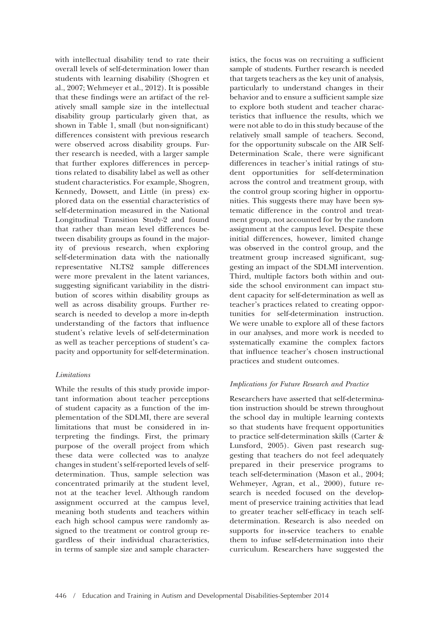with intellectual disability tend to rate their overall levels of self-determination lower than students with learning disability (Shogren et al., 2007; Wehmeyer et al., 2012). It is possible that these findings were an artifact of the relatively small sample size in the intellectual disability group particularly given that, as shown in Table 1, small (but non-significant) differences consistent with previous research were observed across disability groups. Further research is needed, with a larger sample that further explores differences in perceptions related to disability label as well as other student characteristics. For example, Shogren, Kennedy, Dowsett, and Little (in press) explored data on the essential characteristics of self-determination measured in the National Longitudinal Transition Study-2 and found that rather than mean level differences between disability groups as found in the majority of previous research, when exploring self-determination data with the nationally representative NLTS2 sample differences were more prevalent in the latent variances, suggesting significant variability in the distribution of scores within disability groups as well as across disability groups. Further research is needed to develop a more in-depth understanding of the factors that influence student's relative levels of self-determination as well as teacher perceptions of student's capacity and opportunity for self-determination.

## *Limitations*

While the results of this study provide important information about teacher perceptions of student capacity as a function of the implementation of the SDLMI, there are several limitations that must be considered in interpreting the findings. First, the primary purpose of the overall project from which these data were collected was to analyze changes in student's self-reported levels of selfdetermination. Thus, sample selection was concentrated primarily at the student level, not at the teacher level. Although random assignment occurred at the campus level, meaning both students and teachers within each high school campus were randomly assigned to the treatment or control group regardless of their individual characteristics, in terms of sample size and sample characteristics, the focus was on recruiting a sufficient sample of students. Further research is needed that targets teachers as the key unit of analysis, particularly to understand changes in their behavior and to ensure a sufficient sample size to explore both student and teacher characteristics that influence the results, which we were not able to do in this study because of the relatively small sample of teachers. Second, for the opportunity subscale on the AIR Self-Determination Scale, there were significant differences in teacher's initial ratings of student opportunities for self-determination across the control and treatment group, with the control group scoring higher in opportunities. This suggests there may have been systematic difference in the control and treatment group, not accounted for by the random assignment at the campus level. Despite these initial differences, however, limited change was observed in the control group, and the treatment group increased significant, suggesting an impact of the SDLMI intervention. Third, multiple factors both within and outside the school environment can impact student capacity for self-determination as well as teacher's practices related to creating opportunities for self-determination instruction. We were unable to explore all of these factors in our analyses, and more work is needed to systematically examine the complex factors that influence teacher's chosen instructional practices and student outcomes.

# *Implications for Future Research and Practice*

Researchers have asserted that self-determination instruction should be strewn throughout the school day in multiple learning contexts so that students have frequent opportunities to practice self-determination skills (Carter & Lunsford, 2005). Given past research suggesting that teachers do not feel adequately prepared in their preservice programs to teach self-determination (Mason et al., 2004; Wehmeyer, Agran, et al., 2000), future research is needed focused on the development of preservice training activities that lead to greater teacher self-efficacy in teach selfdetermination. Research is also needed on supports for in-service teachers to enable them to infuse self-determination into their curriculum. Researchers have suggested the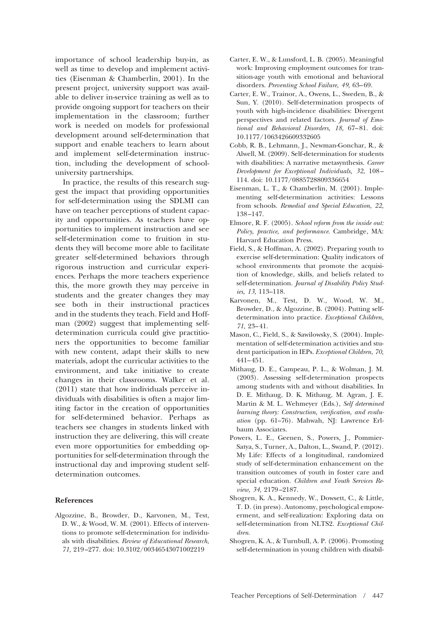importance of school leadership buy-in, as well as time to develop and implement activities (Eisenman & Chamberlin, 2001). In the present project, university support was available to deliver in-service training as well as to provide ongoing support for teachers on their implementation in the classroom; further work is needed on models for professional development around self-determination that support and enable teachers to learn about and implement self-determination instruction, including the development of schooluniversity partnerships.

In practice, the results of this research suggest the impact that providing opportunities for self-determination using the SDLMI can have on teacher perceptions of student capacity and opportunities. As teachers have opportunities to implement instruction and see self-determination come to fruition in students they will become more able to facilitate greater self-determined behaviors through rigorous instruction and curricular experiences. Perhaps the more teachers experience this, the more growth they may perceive in students and the greater changes they may see both in their instructional practices and in the students they teach. Field and Hoffman (2002) suggest that implementing selfdetermination curricula could give practitioners the opportunities to become familiar with new content, adapt their skills to new materials, adopt the curricular activities to the environment, and take initiative to create changes in their classrooms. Walker et al. (2011) state that how individuals perceive individuals with disabilities is often a major limiting factor in the creation of opportunities for self-determined behavior. Perhaps as teachers see changes in students linked with instruction they are delivering, this will create even more opportunities for embedding opportunities for self-determination through the instructional day and improving student selfdetermination outcomes.

#### **References**

Algozzine, B., Browder, D., Karvonen, M., Test, D. W., & Wood, W. M. (2001). Effects of interventions to promote self-determination for individuals with disabilities. *Review of Educational Research, 71,* 219 –277. doi: 10.3102/00346543071002219

- Carter, E. W., & Lunsford, L. B. (2005). Meaningful work: Improving employment outcomes for transition-age youth with emotional and behavioral disorders. *Preventing School Failure, 49,* 63– 69.
- Carter, E. W., Trainor, A., Owens, L., Sweden, B., & Sun, Y. (2010). Self-determination prospects of youth with high-incidence disabilities: Divergent perspectives and related factors. *Journal of Emo*tional and Behavioral Disorders, 18, 67-81. doi: 10.1177/1063426609332605
- Cobb, R. B., Lehmann, J., Newman-Gonchar, R., & Alwell, M. (2009). Self-determination for students with disabilities: A narrative metasynthesis. *Career Development for Exceptional Individuals, 32,* 108 – 114. doi: 10.1177/0885728809336654
- Eisenman, L. T., & Chamberlin, M. (2001). Implementing self-determination activities: Lessons from schools. *Remedial and Special Education, 22,* 138 –147.
- Elmore, R. F. (2005). *School reform from the inside out: Policy, practice, and performance*. Cambridge, MA: Harvard Education Press.
- Field, S., & Hoffman, A. (2002). Preparing youth to exercise self-determination: Quality indicators of school environments that promote the acquisition of knowledge, skills, and beliefs related to self-determination. *Journal of Disability Policy Studies, 13,* 113–118.
- Karvonen, M., Test, D. W., Wood, W. M., Browder, D., & Algozzine, B. (2004). Putting selfdetermination into practice. *Exceptional Children, 71,* 23– 41.
- Mason, C., Field, S., & Sawilowsky, S. (2004). Implementation of self-determination activities and student participation in IEPs. *Exceptional Children, 70,* 441– 451.
- Mithaug, D. E., Campeau, P. L., & Wolman, J. M. (2003). Assessing self-determination prospects among students with and without disabilities. In D. E. Mithaug, D. K. Mithaug, M. Agran, J. E. Martin & M. L. Wehmeyer (Eds.), *Self determined learning theory: Construction, verification, and evaluation* (pp. 61–76). Mahwah, NJ: Lawrence Erlbaum Associates.
- Powers, L. E., Geenen, S., Powers, J., Pommier-Satya, S., Turner, A., Dalton, L., Swand, P. (2012). My Life: Effects of a longitudinal, randomized study of self-determination enhancement on the transition outcomes of youth in foster care and special education. *Children and Youth Services Review, 34,* 2179 –2187.
- Shogren, K. A., Kennedy, W., Dowsett, C., & Little, T. D. (in press). Autonomy, psychological empowerment, and self-realization: Exploring data on self-determination from NLTS2. *Exceptional Children*.
- Shogren, K. A., & Turnbull, A. P. (2006). Promoting self-determination in young children with disabil-